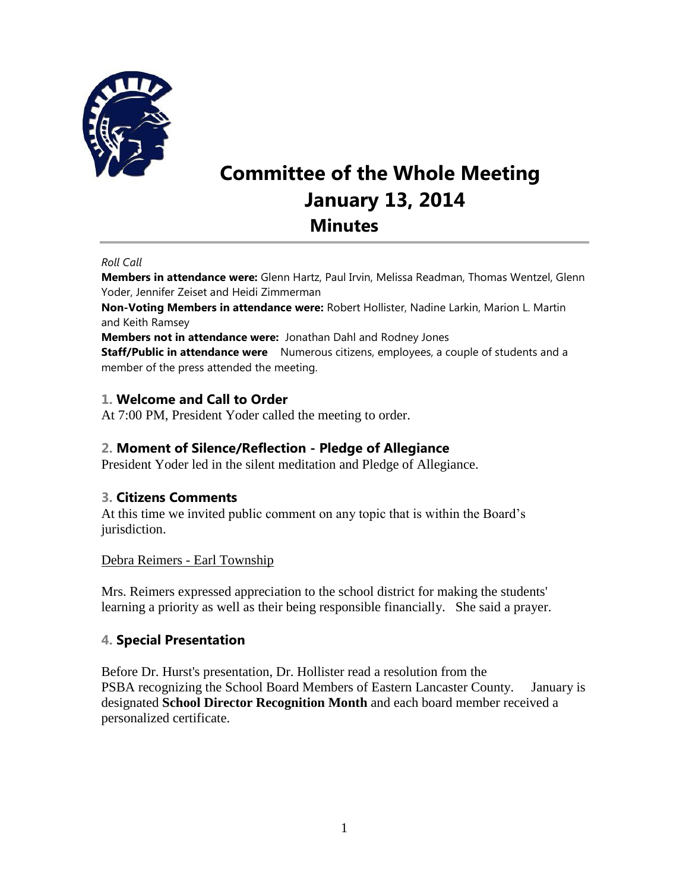

# **Committee of the Whole Meeting January 13, 2014 Minutes**

#### *Roll Call*

**Members in attendance were:** Glenn Hartz, Paul Irvin, Melissa Readman, Thomas Wentzel, Glenn Yoder, Jennifer Zeiset and Heidi Zimmerman

**Non-Voting Members in attendance were:** Robert Hollister, Nadine Larkin, Marion L. Martin and Keith Ramsey

**Members not in attendance were:** Jonathan Dahl and Rodney Jones

**Staff/Public in attendance were** Numerous citizens, employees, a couple of students and a member of the press attended the meeting.

## **1. Welcome and Call to Order**

At 7:00 PM, President Yoder called the meeting to order.

## **2. Moment of Silence/Reflection - Pledge of Allegiance**

President Yoder led in the silent meditation and Pledge of Allegiance.

## **3. Citizens Comments**

At this time we invited public comment on any topic that is within the Board's jurisdiction.

## Debra Reimers - Earl Township

Mrs. Reimers expressed appreciation to the school district for making the students' learning a priority as well as their being responsible financially. She said a prayer.

## **4. Special Presentation**

Before Dr. Hurst's presentation, Dr. Hollister read a resolution from the PSBA recognizing the School Board Members of Eastern Lancaster County. January is designated **School Director Recognition Month** and each board member received a personalized certificate.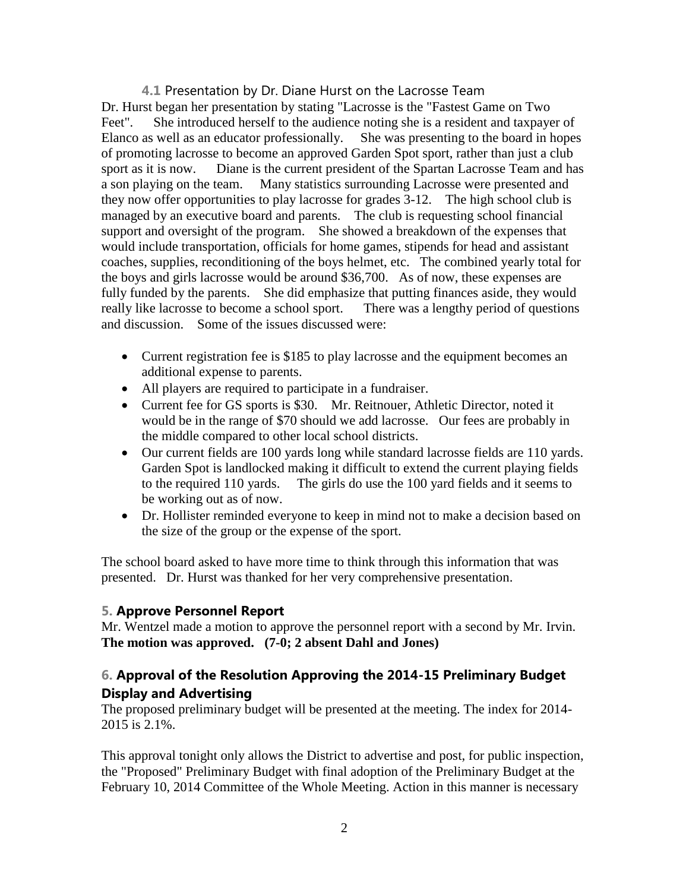**4.1** Presentation by Dr. Diane Hurst on the Lacrosse Team Dr. Hurst began her presentation by stating "Lacrosse is the "Fastest Game on Two Feet". She introduced herself to the audience noting she is a resident and taxpayer of Elanco as well as an educator professionally. She was presenting to the board in hopes of promoting lacrosse to become an approved Garden Spot sport, rather than just a club sport as it is now. Diane is the current president of the Spartan Lacrosse Team and has a son playing on the team. Many statistics surrounding Lacrosse were presented and they now offer opportunities to play lacrosse for grades 3-12. The high school club is managed by an executive board and parents. The club is requesting school financial support and oversight of the program. She showed a breakdown of the expenses that would include transportation, officials for home games, stipends for head and assistant coaches, supplies, reconditioning of the boys helmet, etc. The combined yearly total for the boys and girls lacrosse would be around \$36,700. As of now, these expenses are fully funded by the parents. She did emphasize that putting finances aside, they would really like lacrosse to become a school sport. There was a lengthy period of questions and discussion. Some of the issues discussed were:

- Current registration fee is \$185 to play lacrosse and the equipment becomes an additional expense to parents.
- All players are required to participate in a fundraiser.
- Current fee for GS sports is \$30. Mr. Reitnouer, Athletic Director, noted it would be in the range of \$70 should we add lacrosse. Our fees are probably in the middle compared to other local school districts.
- Our current fields are 100 yards long while standard lacrosse fields are 110 yards. Garden Spot is landlocked making it difficult to extend the current playing fields to the required 110 yards. The girls do use the 100 yard fields and it seems to be working out as of now.
- Dr. Hollister reminded everyone to keep in mind not to make a decision based on the size of the group or the expense of the sport.

The school board asked to have more time to think through this information that was presented. Dr. Hurst was thanked for her very comprehensive presentation.

## **5. Approve Personnel Report**

Mr. Wentzel made a motion to approve the personnel report with a second by Mr. Irvin. **The motion was approved. (7-0; 2 absent Dahl and Jones)** 

## **6. Approval of the Resolution Approving the 2014-15 Preliminary Budget Display and Advertising**

The proposed preliminary budget will be presented at the meeting. The index for 2014- 2015 is 2.1%.

This approval tonight only allows the District to advertise and post, for public inspection, the "Proposed" Preliminary Budget with final adoption of the Preliminary Budget at the February 10, 2014 Committee of the Whole Meeting. Action in this manner is necessary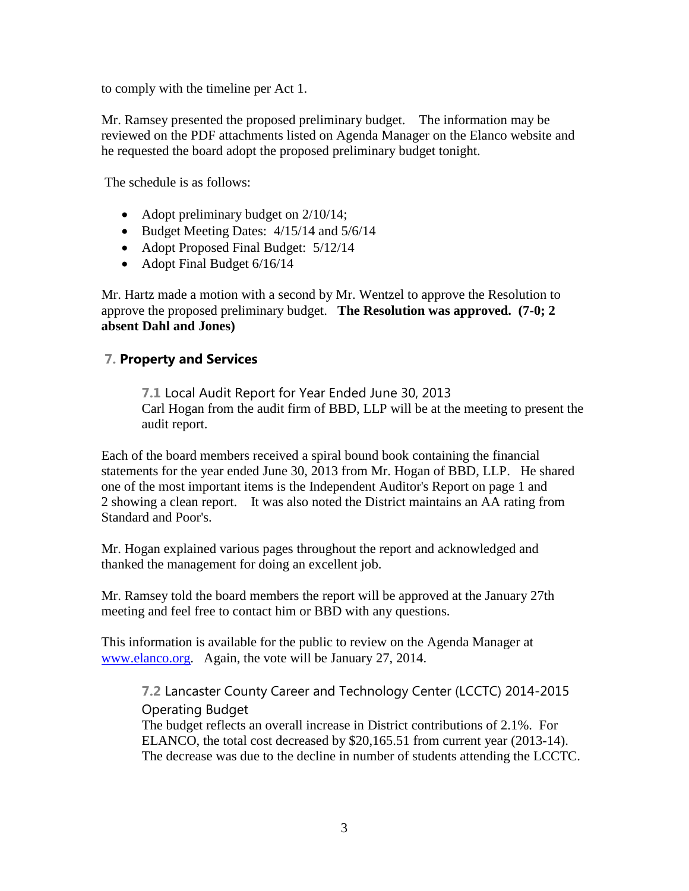to comply with the timeline per Act 1.

Mr. Ramsey presented the proposed preliminary budget. The information may be reviewed on the PDF attachments listed on Agenda Manager on the Elanco website and he requested the board adopt the proposed preliminary budget tonight.

The schedule is as follows:

- Adopt preliminary budget on  $2/10/14$ ;
- $\bullet$  Budget Meeting Dates: 4/15/14 and 5/6/14
- Adopt Proposed Final Budget:  $5/12/14$
- Adopt Final Budget 6/16/14

Mr. Hartz made a motion with a second by Mr. Wentzel to approve the Resolution to approve the proposed preliminary budget. **The Resolution was approved. (7-0; 2 absent Dahl and Jones)**

## **7. Property and Services**

**7.1** Local Audit Report for Year Ended June 30, 2013 Carl Hogan from the audit firm of BBD, LLP will be at the meeting to present the audit report.

Each of the board members received a spiral bound book containing the financial statements for the year ended June 30, 2013 from Mr. Hogan of BBD, LLP. He shared one of the most important items is the Independent Auditor's Report on page 1 and 2 showing a clean report. It was also noted the District maintains an AA rating from Standard and Poor's.

Mr. Hogan explained various pages throughout the report and acknowledged and thanked the management for doing an excellent job.

Mr. Ramsey told the board members the report will be approved at the January 27th meeting and feel free to contact him or BBD with any questions.

This information is available for the public to review on the Agenda Manager at [www.elanco.org.](http://www.elanco.org/) Again, the vote will be January 27, 2014.

**7.2** Lancaster County Career and Technology Center (LCCTC) 2014-2015 Operating Budget

The budget reflects an overall increase in District contributions of 2.1%. For ELANCO, the total cost decreased by \$20,165.51 from current year (2013-14). The decrease was due to the decline in number of students attending the LCCTC.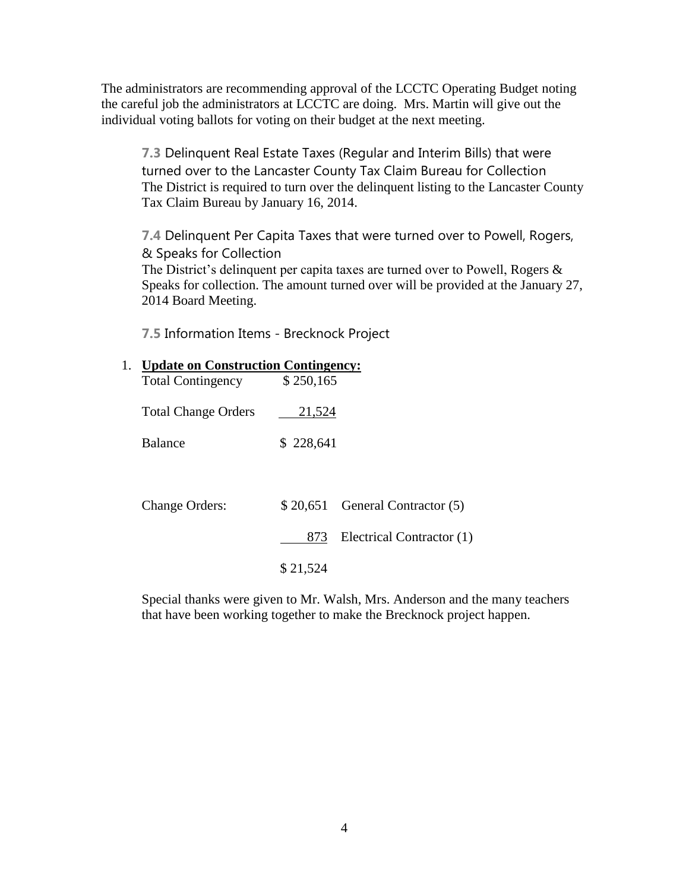The administrators are recommending approval of the LCCTC Operating Budget noting the careful job the administrators at LCCTC are doing. Mrs. Martin will give out the individual voting ballots for voting on their budget at the next meeting.

**7.3** Delinquent Real Estate Taxes (Regular and Interim Bills) that were turned over to the Lancaster County Tax Claim Bureau for Collection The District is required to turn over the delinquent listing to the Lancaster County Tax Claim Bureau by January 16, 2014.

**7.4** Delinquent Per Capita Taxes that were turned over to Powell, Rogers, & Speaks for Collection

The District's delinquent per capita taxes are turned over to Powell, Rogers & Speaks for collection. The amount turned over will be provided at the January 27, 2014 Board Meeting.

**7.5** Information Items - Brecknock Project

|                                                         |  | 1. Update on Construction Contingency: |  |
|---------------------------------------------------------|--|----------------------------------------|--|
| $\mathbf{m}$ . $\mathbf{1}$ $\mathbf{N}$ . $\mathbf{N}$ |  | $A$ $A$ $A$ $A$ $A$ $A$ $A$            |  |

| <b>Total Contingency</b>   | \$250,165 |                                  |
|----------------------------|-----------|----------------------------------|
| <b>Total Change Orders</b> | 21,524    |                                  |
| <b>Balance</b>             | \$228,641 |                                  |
|                            |           |                                  |
| <b>Change Orders:</b>      |           | $$20,651$ General Contractor (5) |
|                            | 873       | Electrical Contractor (1)        |
|                            | \$21,524  |                                  |

Special thanks were given to Mr. Walsh, Mrs. Anderson and the many teachers that have been working together to make the Brecknock project happen.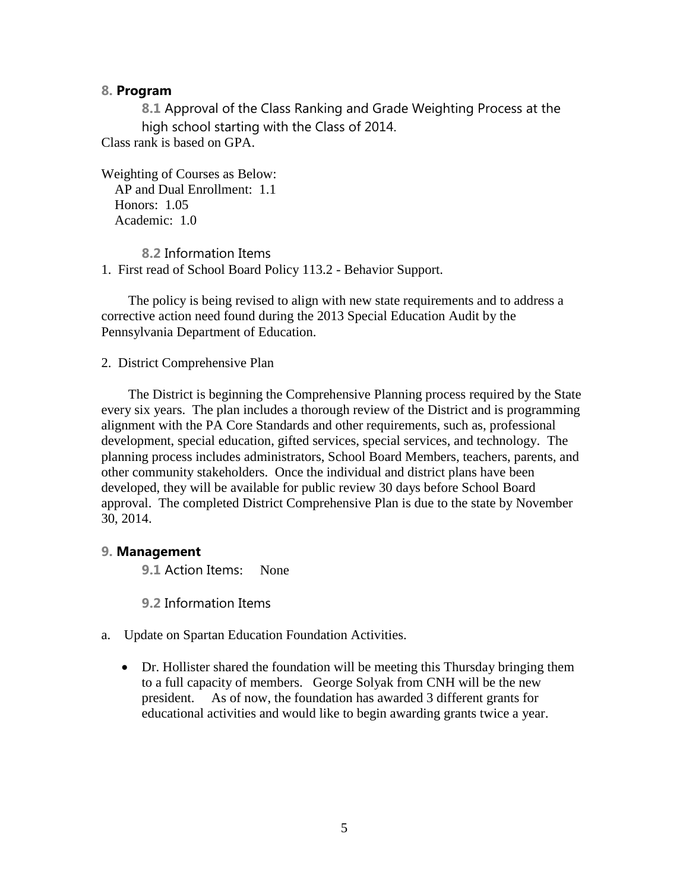#### **8. Program**

**8.1** Approval of the Class Ranking and Grade Weighting Process at the high school starting with the Class of 2014. Class rank is based on GPA.

Weighting of Courses as Below: AP and Dual Enrollment: 1.1 Honors: 1.05 Academic: 1.0

**8.2** Information Items 1. First read of School Board Policy 113.2 - Behavior Support.

 The policy is being revised to align with new state requirements and to address a corrective action need found during the 2013 Special Education Audit by the Pennsylvania Department of Education.

2. District Comprehensive Plan

 The District is beginning the Comprehensive Planning process required by the State every six years. The plan includes a thorough review of the District and is programming alignment with the PA Core Standards and other requirements, such as, professional development, special education, gifted services, special services, and technology. The planning process includes administrators, School Board Members, teachers, parents, and other community stakeholders. Once the individual and district plans have been developed, they will be available for public review 30 days before School Board approval. The completed District Comprehensive Plan is due to the state by November 30, 2014.

## **9. Management**

**9.1** Action Items: None

**9.2** Information Items

- a. Update on Spartan Education Foundation Activities.
	- Dr. Hollister shared the foundation will be meeting this Thursday bringing them to a full capacity of members. George Solyak from CNH will be the new president. As of now, the foundation has awarded 3 different grants for educational activities and would like to begin awarding grants twice a year.